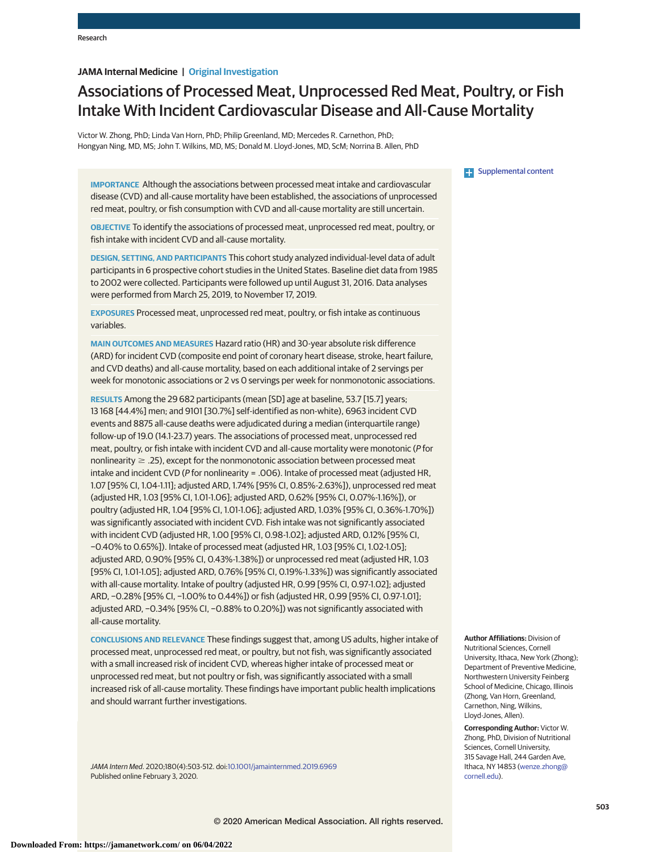# **JAMA Internal Medicine | Original Investigation**

# Associations of Processed Meat, Unprocessed Red Meat, Poultry, or Fish Intake With Incident Cardiovascular Disease and All-Cause Mortality

Victor W. Zhong, PhD; Linda Van Horn, PhD; Philip Greenland, MD; Mercedes R. Carnethon, PhD; Hongyan Ning, MD, MS; John T. Wilkins, MD, MS; Donald M. Lloyd-Jones, MD, ScM; Norrina B. Allen, PhD

**IMPORTANCE** Although the associations between processed meat intake and cardiovascular disease (CVD) and all-cause mortality have been established, the associations of unprocessed red meat, poultry, or fish consumption with CVD and all-cause mortality are still uncertain.

**OBJECTIVE** To identify the associations of processed meat, unprocessed red meat, poultry, or fish intake with incident CVD and all-cause mortality.

**DESIGN, SETTING, AND PARTICIPANTS** This cohort study analyzed individual-level data of adult participants in 6 prospective cohort studies in the United States. Baseline diet data from 1985 to 2002 were collected. Participants were followed up until August 31, 2016. Data analyses were performed from March 25, 2019, to November 17, 2019.

**EXPOSURES** Processed meat, unprocessed red meat, poultry, or fish intake as continuous variables.

**MAIN OUTCOMES AND MEASURES** Hazard ratio (HR) and 30-year absolute risk difference (ARD) for incident CVD (composite end point of coronary heart disease, stroke, heart failure, and CVD deaths) and all-cause mortality, based on each additional intake of 2 servings per week for monotonic associations or 2 vs 0 servings per week for nonmonotonic associations.

**RESULTS** Among the 29 682 participants (mean [SD] age at baseline, 53.7 [15.7] years; 13 168 [44.4%] men; and 9101 [30.7%] self-identified as non-white), 6963 incident CVD events and 8875 all-cause deaths were adjudicated during a median (interquartile range) follow-up of 19.0 (14.1-23.7) years. The associations of processed meat, unprocessed red meat, poultry, or fish intake with incident CVD and all-cause mortality were monotonic (P for nonlinearity  $\geq$  .25), except for the nonmonotonic association between processed meat intake and incident CVD (P for nonlinearity = .006). Intake of processed meat (adjusted HR, 1.07 [95% CI, 1.04-1.11]; adjusted ARD, 1.74% [95% CI, 0.85%-2.63%]), unprocessed red meat (adjusted HR, 1.03 [95% CI, 1.01-1.06]; adjusted ARD, 0.62% [95% CI, 0.07%-1.16%]), or poultry (adjusted HR, 1.04 [95% CI, 1.01-1.06]; adjusted ARD, 1.03% [95% CI, 0.36%-1.70%]) was significantly associated with incident CVD. Fish intake was not significantly associated with incident CVD (adjusted HR, 1.00 [95% CI, 0.98-1.02]; adjusted ARD, 0.12% [95% CI, −0.40% to 0.65%]). Intake of processed meat (adjusted HR, 1.03 [95% CI, 1.02-1.05]; adjusted ARD, 0.90% [95% CI, 0.43%-1.38%]) or unprocessed red meat (adjusted HR, 1.03 [95% CI, 1.01-1.05]; adjusted ARD, 0.76% [95% CI, 0.19%-1.33%]) was significantly associated with all-cause mortality. Intake of poultry (adjusted HR, 0.99 [95% CI, 0.97-1.02]; adjusted ARD, −0.28% [95% CI, −1.00% to 0.44%]) or fish (adjusted HR, 0.99 [95% CI, 0.97-1.01]; adjusted ARD, −0.34% [95% CI, −0.88% to 0.20%]) was not significantly associated with all-cause mortality.

**CONCLUSIONS AND RELEVANCE** These findings suggest that, among US adults, higher intake of processed meat, unprocessed red meat, or poultry, but not fish, was significantly associated with a small increased risk of incident CVD, whereas higher intake of processed meat or unprocessed red meat, but not poultry or fish, was significantly associated with a small increased risk of all-cause mortality. These findings have important public health implications and should warrant further investigations.

JAMA Intern Med. 2020;180(4):503-512. doi[:10.1001/jamainternmed.2019.6969](https://jamanetwork.com/journals/jama/fullarticle/10.1001/jamainternmed.2019.6969?utm_campaign=articlePDF%26utm_medium=articlePDFlink%26utm_source=articlePDF%26utm_content=jamainternmed.2019.6969) Published online February 3, 2020.

**Examplemental content** 

**Author Affiliations:** Division of Nutritional Sciences, Cornell University, Ithaca, New York (Zhong); Department of Preventive Medicine, Northwestern University Feinberg School of Medicine, Chicago, Illinois (Zhong, Van Horn, Greenland, Carnethon, Ning, Wilkins, Lloyd-Jones, Allen).

**Corresponding Author:** Victor W. Zhong, PhD, Division of Nutritional Sciences, Cornell University, 315 Savage Hall, 244 Garden Ave, Ithaca, NY 14853 [\(wenze.zhong@](mailto:wenze.zhong@cornell.edu) [cornell.edu\)](mailto:wenze.zhong@cornell.edu).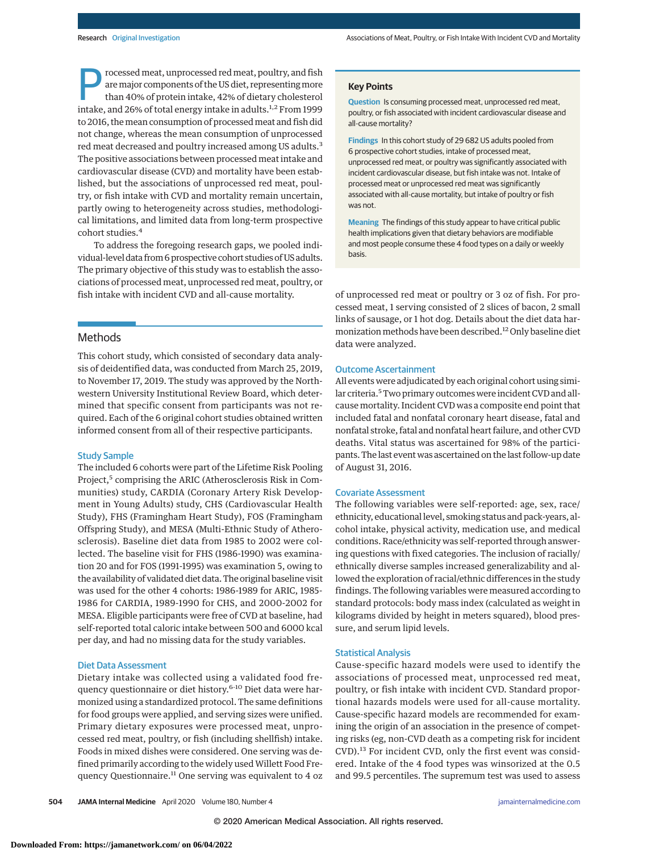Frocessed meat, unprocessed red meat, poultry, and fish<br>are major components of the US diet, representing more<br>than 40% of protein intake, 42% of dietary cholesterol<br>intake, and 26% of total aparew intake in adults <sup>1,2</sup> F aremajor components of the US diet, representingmore intake, and 26% of total energy intake in adults.<sup>1,2</sup> From 1999 to 2016, themean consumption of processedmeat and fish did not change, whereas the mean consumption of unprocessed red meat decreased and poultry increased among US adults.<sup>3</sup> The positive associations between processed meat intake and cardiovascular disease (CVD) and mortality have been established, but the associations of unprocessed red meat, poultry, or fish intake with CVD and mortality remain uncertain, partly owing to heterogeneity across studies, methodological limitations, and limited data from long-term prospective cohort studies.<sup>4</sup>

To address the foregoing research gaps, we pooled individual-level data from 6 prospective cohort studies of US adults. The primary objective of this study was to establish the associations of processed meat, unprocessed red meat, poultry, or fish intake with incident CVD and all-cause mortality.

# Methods

This cohort study, which consisted of secondary data analysis of deidentified data, was conducted from March 25, 2019, to November 17, 2019. The study was approved by the Northwestern University Institutional Review Board, which determined that specific consent from participants was not required. Each of the 6 original cohort studies obtained written informed consent from all of their respective participants.

## Study Sample

The included 6 cohorts were part of the Lifetime Risk Pooling Project,<sup>5</sup> comprising the ARIC (Atherosclerosis Risk in Communities) study, CARDIA (Coronary Artery Risk Development in Young Adults) study, CHS (Cardiovascular Health Study), FHS (Framingham Heart Study), FOS (Framingham Offspring Study), and MESA (Multi-Ethnic Study of Atherosclerosis). Baseline diet data from 1985 to 2002 were collected. The baseline visit for FHS (1986-1990) was examination 20 and for FOS (1991-1995) was examination 5, owing to the availability of validated diet data. The original baseline visit was used for the other 4 cohorts: 1986-1989 for ARIC, 1985- 1986 for CARDIA, 1989-1990 for CHS, and 2000-2002 for MESA. Eligible participants were free of CVD at baseline, had self-reported total caloric intake between 500 and 6000 kcal per day, and had no missing data for the study variables.

#### Diet Data Assessment

Dietary intake was collected using a validated food frequency questionnaire or diet history.<sup>6-10</sup> Diet data were harmonized using a standardized protocol. The same definitions for food groups were applied, and serving sizes were unified. Primary dietary exposures were processed meat, unprocessed red meat, poultry, or fish (including shellfish) intake. Foods in mixed dishes were considered. One serving was defined primarily according to the widely used Willett Food Frequency Questionnaire.<sup>11</sup> One serving was equivalent to 4 oz

#### **Key Points**

**Question** Is consuming processed meat, unprocessed red meat, poultry, or fish associated with incident cardiovascular disease and all-cause mortality?

**Findings** In this cohort study of 29 682 US adults pooled from 6 prospective cohort studies, intake of processed meat, unprocessed red meat, or poultry was significantly associated with incident cardiovascular disease, but fish intake was not. Intake of processed meat or unprocessed red meat was significantly associated with all-cause mortality, but intake of poultry or fish was not.

**Meaning** The findings of this study appear to have critical public health implications given that dietary behaviors are modifiable and most people consume these 4 food types on a daily or weekly basis.

of unprocessed red meat or poultry or 3 oz of fish. For processed meat, 1 serving consisted of 2 slices of bacon, 2 small links of sausage, or 1 hot dog. Details about the diet data harmonization methods have been described.<sup>12</sup> Only baseline diet data were analyzed.

## Outcome Ascertainment

All events were adjudicated by each original cohort using similar criteria.<sup>5</sup> Two primary outcomes were incident CVD and allcause mortality. Incident CVD was a composite end point that included fatal and nonfatal coronary heart disease, fatal and nonfatal stroke, fatal and nonfatal heart failure, and other CVD deaths. Vital status was ascertained for 98% of the participants. The last event was ascertained on the last follow-up date of August 31, 2016.

#### Covariate Assessment

The following variables were self-reported: age, sex, race/ ethnicity, educational level, smoking status and pack-years, alcohol intake, physical activity, medication use, and medical conditions. Race/ethnicity was self-reported through answering questions with fixed categories. The inclusion of racially/ ethnically diverse samples increased generalizability and allowed the exploration of racial/ethnic differences in the study findings. The following variables were measured according to standard protocols: body mass index (calculated as weight in kilograms divided by height in meters squared), blood pressure, and serum lipid levels.

## Statistical Analysis

Cause-specific hazard models were used to identify the associations of processed meat, unprocessed red meat, poultry, or fish intake with incident CVD. Standard proportional hazards models were used for all-cause mortality. Cause-specific hazard models are recommended for examining the origin of an association in the presence of competing risks (eg, non-CVD death as a competing risk for incident CVD).<sup>13</sup> For incident CVD, only the first event was considered. Intake of the 4 food types was winsorized at the 0.5 and 99.5 percentiles. The supremum test was used to assess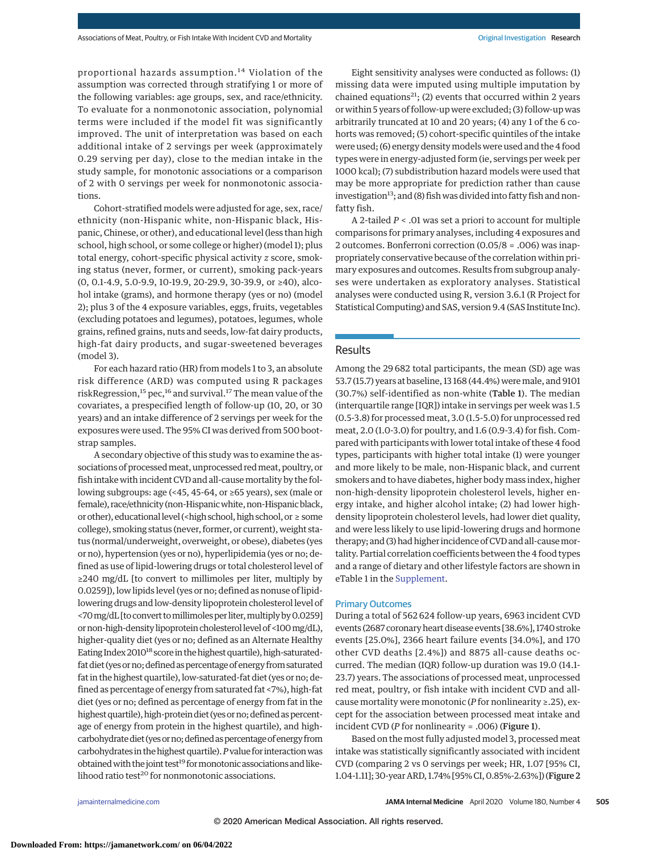proportional hazards assumption. <sup>14</sup> Violation of the assumption was corrected through stratifying 1 or more of the following variables: age groups, sex, and race/ethnicity. To evaluate for a nonmonotonic association, polynomial terms were included if the model fit was significantly improved. The unit of interpretation was based on each additional intake of 2 servings per week (approximately 0.29 serving per day), close to the median intake in the study sample, for monotonic associations or a comparison of 2 with 0 servings per week for nonmonotonic associations.

Cohort-stratified models were adjusted for age, sex, race/ ethnicity (non-Hispanic white, non-Hispanic black, Hispanic, Chinese, or other), and educational level (less than high school, high school, or some college or higher) (model 1); plus total energy, cohort-specific physical activity *z* score, smoking status (never, former, or current), smoking pack-years (0, 0.1-4.9, 5.0-9.9, 10-19.9, 20-29.9, 30-39.9, or ≥40), alcohol intake (grams), and hormone therapy (yes or no) (model 2); plus 3 of the 4 exposure variables, eggs, fruits, vegetables (excluding potatoes and legumes), potatoes, legumes, whole grains, refined grains, nuts and seeds, low-fat dairy products, high-fat dairy products, and sugar-sweetened beverages (model 3).

For each hazard ratio (HR) from models 1 to 3, an absolute risk difference (ARD) was computed using R packages riskRegression,<sup>15</sup> pec,<sup>16</sup> and survival.<sup>17</sup> The mean value of the covariates, a prespecified length of follow-up (10, 20, or 30 years) and an intake difference of 2 servings per week for the exposures were used. The 95% CI was derived from 500 bootstrap samples.

A secondary objective of this study was to examine the associations of processed meat, unprocessed red meat, poultry, or fish intake with incident CVD and all-causemortality by the following subgroups: age (<45, 45-64, or ≥65 years), sex (male or female), race/ethnicity (non-Hispanic white, non-Hispanic black, or other), educational level (<high school, high school, or  $\geq$  some college), smoking status (never, former, or current), weight status (normal/underweight, overweight, or obese), diabetes (yes or no), hypertension (yes or no), hyperlipidemia (yes or no; defined as use of lipid-lowering drugs or total cholesterol level of ≥240 mg/dL [to convert to millimoles per liter, multiply by 0.0259]), low lipids level (yes or no; defined as nonuse of lipidlowering drugs and low-density lipoprotein cholesterol level of <70 mg/dL [to convert to millimoles per liter, multiply by 0.0259] or non-high-density lipoprotein cholesterol level of <100 mg/dL), higher-quality diet (yes or no; defined as an Alternate Healthy Eating Index 2010<sup>18</sup> score in the highest quartile), high-saturatedfat diet (yes or no; defined as percentage of energy from saturated fat in the highest quartile), low-saturated-fat diet (yes or no; defined as percentage of energy from saturated fat <7%), high-fat diet (yes or no; defined as percentage of energy from fat in the highest quartile), high-protein diet (yes or no; defined as percentage of energy from protein in the highest quartile), and highcarbohydrate diet (yes or no; defined as percentage of energy from carbohydrates in the highest quartile). P value for interaction was obtained with the joint test<sup>19</sup> for monotonic associations and likelihood ratio test<sup>20</sup> for nonmonotonic associations.

Eight sensitivity analyses were conducted as follows: (1) missing data were imputed using multiple imputation by chained equations<sup>21</sup>; (2) events that occurred within 2 years or within 5 years of follow-up were excluded; (3) follow-up was arbitrarily truncated at 10 and 20 years; (4) any 1 of the 6 cohorts was removed; (5) cohort-specific quintiles of the intake were used; (6) energy density models were used and the 4 food types were in energy-adjusted form (ie, servings per week per 1000 kcal); (7) subdistribution hazard models were used that may be more appropriate for prediction rather than cause investigation<sup>13</sup>; and (8) fish was divided into fatty fish and nonfatty fish.

A 2-tailed *P* < .01 was set a priori to account for multiple comparisons for primary analyses, including 4 exposures and 2 outcomes. Bonferroni correction (0.05/8 = .006) was inappropriately conservative because of the correlation within primary exposures and outcomes. Results from subgroup analyses were undertaken as exploratory analyses. Statistical analyses were conducted using R, version 3.6.1 (R Project for Statistical Computing) and SAS, version 9.4 (SAS Institute Inc).

# Results

Among the 29 682 total participants, the mean (SD) age was 53.7 (15.7) years at baseline, 13 168 (44.4%) weremale, and 9101 (30.7%) self-identified as non-white (Table 1). The median (interquartile range [IQR]) intake in servings per week was 1.5 (0.5-3.8) for processed meat, 3.0 (1.5-5.0) for unprocessed red meat, 2.0 (1.0-3.0) for poultry, and 1.6 (0.9-3.4) for fish. Compared with participants with lower total intake of these 4 food types, participants with higher total intake (1) were younger and more likely to be male, non-Hispanic black, and current smokers and to have diabetes, higher body mass index, higher non-high-density lipoprotein cholesterol levels, higher energy intake, and higher alcohol intake; (2) had lower highdensity lipoprotein cholesterol levels, had lower diet quality, and were less likely to use lipid-lowering drugs and hormone therapy; and (3) had higher incidence of CVD and all-causemortality. Partial correlation coefficients between the 4 food types and a range of dietary and other lifestyle factors are shown in eTable 1 in the [Supplement.](https://jamanetwork.com/journals/jama/fullarticle/10.1001/jamainternmed.2019.6969?utm_campaign=articlePDF%26utm_medium=articlePDFlink%26utm_source=articlePDF%26utm_content=jamainternmed.2019.6969)

## Primary Outcomes

During a total of 562 624 follow-up years, 6963 incident CVD events (2687 coronary heart disease events [38.6%], 1740 stroke events [25.0%], 2366 heart failure events [34.0%], and 170 other CVD deaths [2.4%]) and 8875 all-cause deaths occurred. The median (IQR) follow-up duration was 19.0 (14.1- 23.7) years. The associations of processed meat, unprocessed red meat, poultry, or fish intake with incident CVD and allcause mortality were monotonic (*P* for nonlinearity ≥.25), except for the association between processed meat intake and incident CVD (*P* for nonlinearity = .006) (Figure 1).

Based on the most fully adjusted model 3, processed meat intake was statistically significantly associated with incident CVD (comparing 2 vs 0 servings per week; HR, 1.07 [95% CI, 1.04-1.11]; 30-year ARD, 1.74% [95% CI, 0.85%-2.63%]) (Figure 2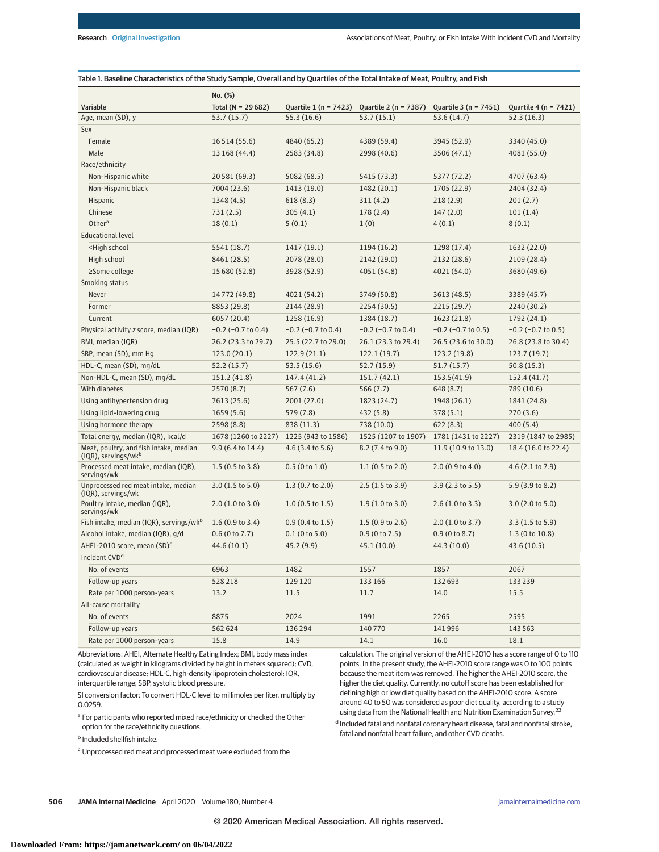|                                                                                                                                    | No. (%)                    |                            |                            |                            |                            |  |  |
|------------------------------------------------------------------------------------------------------------------------------------|----------------------------|----------------------------|----------------------------|----------------------------|----------------------------|--|--|
| Variable                                                                                                                           | Total ( $N = 29682$ )      | Quartile $1(n = 7423)$     | Quartile 2 (n = 7387)      | Quartile 3 (n = 7451)      | Quartile 4 (n = 7421)      |  |  |
| Age, mean (SD), y                                                                                                                  | 53.7(15.7)                 | 55.3(16.6)                 | 53.7(15.1)                 | 53.6 (14.7)                | 52.3(16.3)                 |  |  |
| Sex                                                                                                                                |                            |                            |                            |                            |                            |  |  |
| Female                                                                                                                             | 16 5 14 (55.6)             | 4840 (65.2)                | 4389 (59.4)                | 3945 (52.9)                | 3340 (45.0)                |  |  |
| Male                                                                                                                               | 13 168 (44.4)              | 2583 (34.8)                | 2998 (40.6)                | 3506 (47.1)                | 4081 (55.0)                |  |  |
| Race/ethnicity                                                                                                                     |                            |                            |                            |                            |                            |  |  |
| Non-Hispanic white                                                                                                                 | 20 581 (69.3)              | 5082 (68.5)                | 5415 (73.3)                | 5377 (72.2)                | 4707 (63.4)                |  |  |
| Non-Hispanic black                                                                                                                 | 7004 (23.6)                | 1413 (19.0)                | 1482 (20.1)                | 1705 (22.9)                | 2404 (32.4)                |  |  |
| Hispanic                                                                                                                           | 1348 (4.5)                 | 618(8.3)                   | 311(4.2)                   | 218(2.9)                   | 201(2.7)                   |  |  |
| Chinese                                                                                                                            | 731(2.5)                   | 305(4.1)                   | 178(2.4)                   | 147(2.0)                   | 101(1.4)                   |  |  |
| Other $a$                                                                                                                          | 18(0.1)                    | 5(0.1)                     | 1(0)                       | 4(0.1)                     | 8(0.1)                     |  |  |
| <b>Educational level</b>                                                                                                           |                            |                            |                            |                            |                            |  |  |
| <high school<="" td=""><td>5541 (18.7)</td><td>1417 (19.1)</td><td>1194 (16.2)</td><td>1298 (17.4)</td><td>1632 (22.0)</td></high> | 5541 (18.7)                | 1417 (19.1)                | 1194 (16.2)                | 1298 (17.4)                | 1632 (22.0)                |  |  |
| High school                                                                                                                        | 8461 (28.5)                | 2078 (28.0)                | 2142 (29.0)                | 2132 (28.6)                | 2109 (28.4)                |  |  |
| ≥Some college                                                                                                                      | 15 680 (52.8)              | 3928 (52.9)                | 4051 (54.8)                | 4021 (54.0)                | 3680 (49.6)                |  |  |
| Smoking status                                                                                                                     |                            |                            |                            |                            |                            |  |  |
| Never                                                                                                                              | 14772 (49.8)               | 4021 (54.2)                | 3749 (50.8)                | 3613 (48.5)                | 3389 (45.7)                |  |  |
| Former                                                                                                                             | 8853 (29.8)                | 2144 (28.9)                | 2254(30.5)                 | 2215 (29.7)                | 2240 (30.2)                |  |  |
| Current                                                                                                                            | 6057 (20.4)                | 1258 (16.9)                | 1384 (18.7)                | 1623 (21.8)                | 1792 (24.1)                |  |  |
| Physical activity z score, median (IQR)                                                                                            | $-0.2$ ( $-0.7$ to 0.4)    | $-0.2$ ( $-0.7$ to 0.4)    | $-0.2$ ( $-0.7$ to 0.4)    | $-0.2$ ( $-0.7$ to 0.5)    | $-0.2$ ( $-0.7$ to 0.5)    |  |  |
| BMI, median (IQR)                                                                                                                  | 26.2 (23.3 to 29.7)        | 25.5 (22.7 to 29.0)        | 26.1 (23.3 to 29.4)        | 26.5 (23.6 to 30.0)        | 26.8 (23.8 to 30.4)        |  |  |
| SBP, mean (SD), mm Hg                                                                                                              | 123.0(20.1)                | 122.9(21.1)                | 122.1(19.7)                | 123.2 (19.8)               | 123.7 (19.7)               |  |  |
| HDL-C, mean (SD), mg/dL                                                                                                            | 52.2(15.7)                 | 53.5(15.6)                 | 52.7(15.9)                 | 51.7 (15.7)                | 50.8(15.3)                 |  |  |
| Non-HDL-C, mean (SD), mg/dL                                                                                                        | 151.2 (41.8)               | 147.4 (41.2)               | 151.7(42.1)                | 153.5(41.9)                | 152.4 (41.7)               |  |  |
| With diabetes                                                                                                                      | 2570 (8.7)                 | 567(7.6)                   | 566 (7.7)                  | 648 (8.7)                  | 789 (10.6)                 |  |  |
| Using antihypertension drug                                                                                                        | 7613 (25.6)                | 2001 (27.0)                | 1823 (24.7)                | 1948 (26.1)                | 1841 (24.8)                |  |  |
| Using lipid-lowering drug                                                                                                          | 1659(5.6)                  | 579 (7.8)                  | 432 (5.8)                  | 378(5.1)                   | 270(3.6)                   |  |  |
| Using hormone therapy                                                                                                              | 2598 (8.8)                 | 838 (11.3)                 | 738 (10.0)                 | 622(8.3)                   | 400 (5.4)                  |  |  |
| Total energy, median (IQR), kcal/d                                                                                                 | 1678 (1260 to 2227)        | 1225 (943 to 1586)         | 1525 (1207 to 1907)        | 1781 (1431 to 2227)        | 2319 (1847 to 2985)        |  |  |
| Meat, poultry, and fish intake, median<br>$(IQR)$ , servings/wk $P$                                                                | 9.9 (6.4 to 14.4)          | $4.6$ (3.4 to 5.6)         | 8.2(7.4 to 9.0)            | 11.9 (10.9 to 13.0)        | 18.4 (16.0 to 22.4)        |  |  |
| Processed meat intake, median (IQR),<br>servings/wk                                                                                | $1.5(0.5 \text{ to } 3.8)$ | 0.5(0 to 1.0)              | 1.1(0.5 to 2.0)            | 2.0(0.9 to 4.0)            | 4.6(2.1 to 7.9)            |  |  |
| Unprocessed red meat intake, median<br>(IQR), servings/wk                                                                          | 3.0(1.5 to 5.0)            | $1.3(0.7 \text{ to } 2.0)$ | $2.5(1.5 \text{ to } 3.9)$ | $3.9(2.3 \text{ to } 5.5)$ | 5.9(3.9 to 8.2)            |  |  |
| Poultry intake, median (IQR),<br>servings/wk                                                                                       | 2.0(1.0 to 3.0)            | $1.0$ (0.5 to 1.5)         | 1.9(1.0 to 3.0)            | 2.6(1.0 to 3.3)            | 3.0(2.0 to 5.0)            |  |  |
| Fish intake, median (IQR), servings/wkb                                                                                            | 1.6(0.9 to 3.4)            | $0.9(0.4 \text{ to } 1.5)$ | 1.5(0.9 to 2.6)            | 2.0(1.0 to 3.7)            | $3.3(1.5 \text{ to } 5.9)$ |  |  |
| Alcohol intake, median (IQR), g/d                                                                                                  | $0.6$ (0 to 7.7)           | $0.1$ (0 to 5.0)           | 0.9(0 to 7.5)              | 0.9(0 to 8.7)              | 1.3 (0 to 10.8)            |  |  |
| AHEI-2010 score, mean (SD) <sup>c</sup>                                                                                            | 44.6 (10.1)                | 45.2 (9.9)                 | 45.1(10.0)                 | 44.3 (10.0)                | 43.6 (10.5)                |  |  |
| Incident CVD <sup>a</sup>                                                                                                          |                            |                            |                            |                            |                            |  |  |
| No. of events                                                                                                                      | 6963                       | 1482                       | 1557                       | 1857                       | 2067                       |  |  |
| Follow-up years                                                                                                                    | 528 218                    | 129 120                    | 133 166                    | 132 693                    | 133239                     |  |  |
| Rate per 1000 person-years                                                                                                         | 13.2                       | 11.5                       | 11.7                       | 14.0                       | 15.5                       |  |  |
| All-cause mortality                                                                                                                |                            |                            |                            |                            |                            |  |  |
| No. of events                                                                                                                      | 8875                       | 2024                       | 1991                       | 2265                       | 2595                       |  |  |
| Follow-up years                                                                                                                    | 562 624                    | 136 294                    | 140770                     | 141996                     | 143 563                    |  |  |
| Rate per 1000 person-years                                                                                                         | 15.8                       | 14.9                       | 14.1                       | 16.0                       | 18.1                       |  |  |

Abbreviations: AHEI, Alternate Healthy Eating Index; BMI, body mass index (calculated as weight in kilograms divided by height in meters squared); CVD, cardiovascular disease; HDL-C, high-density lipoprotein cholesterol; IQR, interquartile range; SBP, systolic blood pressure.

SI conversion factor: To convert HDL-C level to millimoles per liter, multiply by 0.0259.

<sup>a</sup> For participants who reported mixed race/ethnicity or checked the Other option for the race/ethnicity questions.

<sup>b</sup> Included shellfish intake.

<sup>c</sup> Unprocessed red meat and processed meat were excluded from the

calculation. The original version of the AHEI-2010 has a score range of 0 to 110 points. In the present study, the AHEI-2010 score range was 0 to 100 points because the meat item was removed. The higher the AHEI-2010 score, the higher the diet quality. Currently, no cutoff score has been established for defining high or low diet quality based on the AHEI-2010 score. A score around 40 to 50 was considered as poor diet quality, according to a study using data from the National Health and Nutrition Examination Survey.<sup>22</sup>

<sup>d</sup> Included fatal and nonfatal coronary heart disease, fatal and nonfatal stroke, fatal and nonfatal heart failure, and other CVD deaths.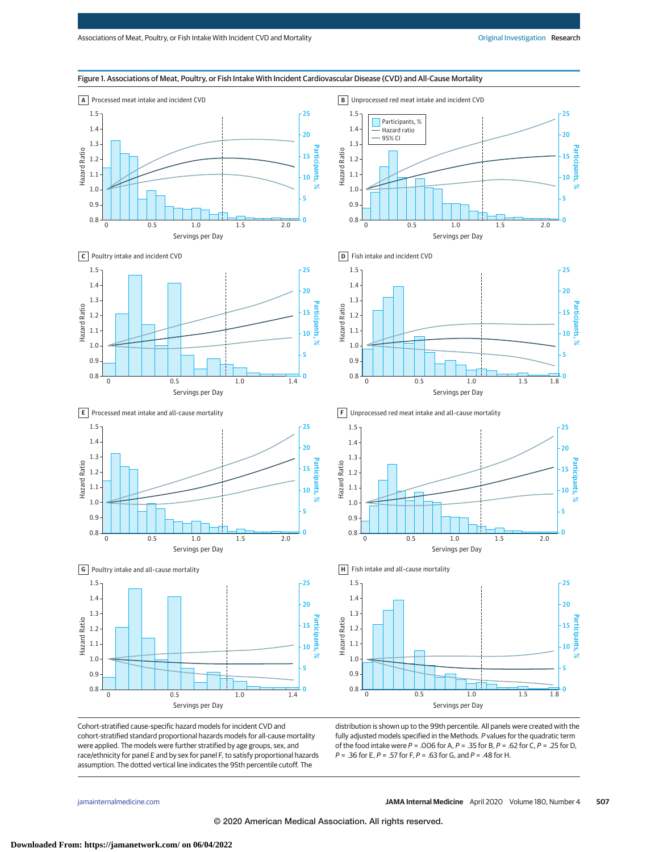

Cohort-stratified cause-specific hazard models for incident CVD and cohort-stratified standard proportional hazards models for all-cause mortality were applied. The models were further stratified by age groups, sex, and race/ethnicity for panel E and by sex for panel F, to satisfy proportional hazards assumption. The dotted vertical line indicates the 95th percentile cutoff. The

distribution is shown up to the 99th percentile. All panels were created with the fully adjusted models specified in the Methods. P values for the quadratic term of the food intake were  $P = .006$  for A,  $P = .35$  for B,  $P = .62$  for C,  $P = .25$  for D,  $P = 0.36$  for E,  $P = 0.57$  for F,  $P = 0.63$  for G, and  $P = 0.48$  for H.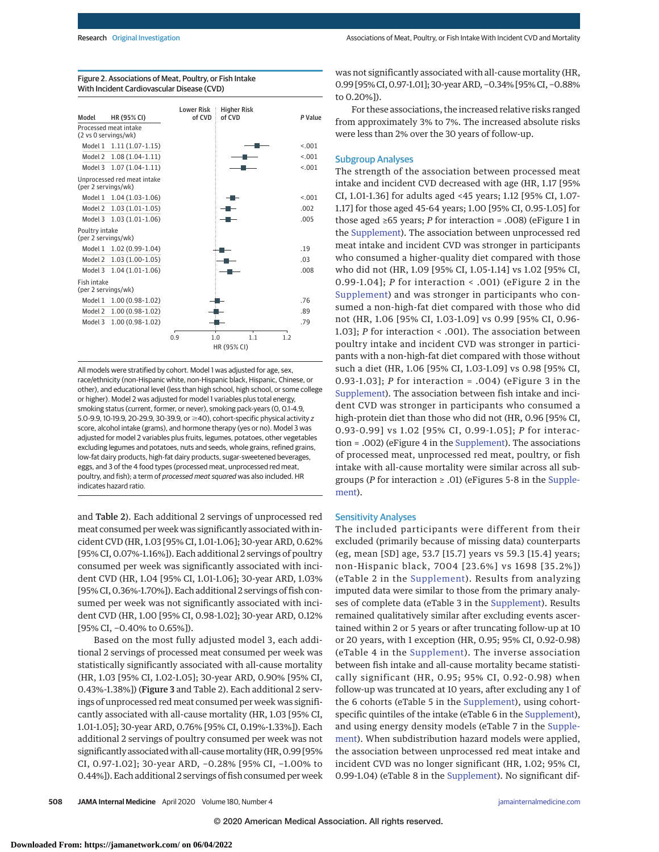| Model                                 | HR (95% CI)                 | <b>Lower Risk</b><br>of CVD | <b>Higher Risk</b><br>of CVD                | P Value |
|---------------------------------------|-----------------------------|-----------------------------|---------------------------------------------|---------|
| (2 vs 0 servings/wk)                  | Processed meat intake       |                             |                                             |         |
|                                       | Model 1 1.11 (1.07-1.15)    |                             |                                             | < 0.01  |
| Model 2                               | $1.08(1.04-1.11)$           |                             |                                             | < 0.01  |
| Model 3                               | $1.07(1.04-1.11)$           |                             |                                             | < 0.01  |
| (per 2 servings/wk)                   | Unprocessed red meat intake |                             |                                             |         |
| Model 1                               | $1.04(1.03-1.06)$           |                             |                                             | < 0.01  |
| Model 2                               | $1.03(1.01-1.05)$           |                             |                                             | .002    |
| Model 3                               | $1.03(1.01-1.06)$           |                             |                                             | .005    |
| Poultry intake<br>(per 2 servings/wk) |                             |                             |                                             |         |
|                                       | Model 1 1.02 (0.99-1.04)    |                             |                                             | .19     |
| Model 2                               | $1.03(1.00-1.05)$           |                             |                                             | .03     |
| Model 3                               | $1.04(1.01-1.06)$           |                             |                                             | .008    |
| Fish intake<br>(per 2 servings/wk)    |                             |                             |                                             |         |
| Model 1                               | $1.00(0.98-1.02)$           |                             |                                             | .76     |
| Model 2                               | $1.00(0.98-1.02)$           |                             |                                             | .89     |
| Model 3                               | $1.00(0.98-1.02)$           |                             |                                             | 79      |
|                                       |                             | 0.9                         | 1.0<br>1.1<br>1 <sub>2</sub><br>HR (95% CI) |         |

Figure 2. Associations of Meat, Poultry, or Fish Intake With Incident Cardiovascular Disease (CVD)

All models were stratified by cohort. Model 1 was adjusted for age, sex, race/ethnicity (non-Hispanic white, non-Hispanic black, Hispanic, Chinese, or other), and educational level (less than high school, high school, or some college or higher). Model 2 was adjusted for model 1 variables plus total energy, smoking status (current, former, or never), smoking pack-years (0, 0.1-4.9, 5.0-9.9, 10-19.9, 20-29.9, 30-39.9, or ≥40), cohort-specific physical activity z score, alcohol intake (grams), and hormone therapy (yes or no). Model 3 was adjusted for model 2 variables plus fruits, legumes, potatoes, other vegetables excluding legumes and potatoes, nuts and seeds, whole grains, refined grains, low-fat dairy products, high-fat dairy products, sugar-sweetened beverages, eggs, and 3 of the 4 food types (processed meat, unprocessed red meat, poultry, and fish); a term of processed meat squared was also included. HR indicates hazard ratio.

and Table 2). Each additional 2 servings of unprocessed red meat consumed per week was significantly associated with incident CVD (HR, 1.03 [95% CI, 1.01-1.06]; 30-year ARD, 0.62% [95% CI, 0.07%-1.16%]). Each additional 2 servings of poultry consumed per week was significantly associated with incident CVD (HR, 1.04 [95% CI, 1.01-1.06]; 30-year ARD, 1.03% [95% CI, 0.36%-1.70%]). Each additional 2 servings of fish consumed per week was not significantly associated with incident CVD (HR, 1.00 [95% CI, 0.98-1.02]; 30-year ARD, 0.12% [95% CI, -0.40% to 0.65%]).

Based on the most fully adjusted model 3, each additional 2 servings of processed meat consumed per week was statistically significantly associated with all-cause mortality (HR, 1.03 [95% CI, 1.02-1.05]; 30-year ARD, 0.90% [95% CI, 0.43%-1.38%]) (Figure 3 and Table 2). Each additional 2 servings of unprocessed red meat consumed per week was significantly associated with all-cause mortality (HR, 1.03 [95% CI, 1.01-1.05]; 30-year ARD, 0.76% [95% CI, 0.19%-1.33%]). Each additional 2 servings of poultry consumed per week was not significantly associated with all-cause mortality (HR, 0.99 [95% CI, 0.97-1.02]; 30-year ARD, −0.28% [95% CI, −1.00% to 0.44%]). Each additional 2 servings of fish consumed per week was not significantly associated with all-cause mortality (HR, 0.99 [95% CI, 0.97-1.01]; 30-year ARD, −0.34% [95% CI, −0.88% to 0.20%]).

For these associations, the increased relative risks ranged from approximately 3% to 7%. The increased absolute risks were less than 2% over the 30 years of follow-up.

## Subgroup Analyses

The strength of the association between processed meat intake and incident CVD decreased with age (HR, 1.17 [95% CI, 1.01-1.36] for adults aged <45 years; 1.12 [95% CI, 1.07- 1.17] for those aged 45-64 years; 1.00 [95% CI, 0.95-1.05] for those aged ≥65 years; *P* for interaction = .008) (eFigure 1 in the [Supplement\)](https://jamanetwork.com/journals/jama/fullarticle/10.1001/jamainternmed.2019.6969?utm_campaign=articlePDF%26utm_medium=articlePDFlink%26utm_source=articlePDF%26utm_content=jamainternmed.2019.6969). The association between unprocessed red meat intake and incident CVD was stronger in participants who consumed a higher-quality diet compared with those who did not (HR, 1.09 [95% CI, 1.05-1.14] vs 1.02 [95% CI, 0.99-1.04]; *P* for interaction < .001) (eFigure 2 in the [Supplement\)](https://jamanetwork.com/journals/jama/fullarticle/10.1001/jamainternmed.2019.6969?utm_campaign=articlePDF%26utm_medium=articlePDFlink%26utm_source=articlePDF%26utm_content=jamainternmed.2019.6969) and was stronger in participants who consumed a non-high-fat diet compared with those who did not (HR, 1.06 [95% CI, 1.03-1.09] vs 0.99 [95% CI, 0.96- 1.03]; *P* for interaction < .001). The association between poultry intake and incident CVD was stronger in participants with a non-high-fat diet compared with those without such a diet (HR, 1.06 [95% CI, 1.03-1.09] vs 0.98 [95% CI, 0.93-1.03]; *P* for interaction = .004) (eFigure 3 in the [Supplement\)](https://jamanetwork.com/journals/jama/fullarticle/10.1001/jamainternmed.2019.6969?utm_campaign=articlePDF%26utm_medium=articlePDFlink%26utm_source=articlePDF%26utm_content=jamainternmed.2019.6969). The association between fish intake and incident CVD was stronger in participants who consumed a high-protein diet than those who did not (HR, 0.96 [95% CI, 0.93-0.99] vs 1.02 [95% CI, 0.99-1.05]; *P* for interaction = .002) (eFigure 4 in the [Supplement\)](https://jamanetwork.com/journals/jama/fullarticle/10.1001/jamainternmed.2019.6969?utm_campaign=articlePDF%26utm_medium=articlePDFlink%26utm_source=articlePDF%26utm_content=jamainternmed.2019.6969). The associations of processed meat, unprocessed red meat, poultry, or fish intake with all-cause mortality were similar across all subgroups (*P* for interaction ≥ .01) (eFigures 5-8 in the [Supple](https://jamanetwork.com/journals/jama/fullarticle/10.1001/jamainternmed.2019.6969?utm_campaign=articlePDF%26utm_medium=articlePDFlink%26utm_source=articlePDF%26utm_content=jamainternmed.2019.6969)[ment\)](https://jamanetwork.com/journals/jama/fullarticle/10.1001/jamainternmed.2019.6969?utm_campaign=articlePDF%26utm_medium=articlePDFlink%26utm_source=articlePDF%26utm_content=jamainternmed.2019.6969).

#### Sensitivity Analyses

The included participants were different from their excluded (primarily because of missing data) counterparts (eg, mean [SD] age, 53.7 [15.7] years vs 59.3 [15.4] years; non-Hispanic black, 7004 [23.6%] vs 1698 [35.2%]) (eTable 2 in the [Supplement\)](https://jamanetwork.com/journals/jama/fullarticle/10.1001/jamainternmed.2019.6969?utm_campaign=articlePDF%26utm_medium=articlePDFlink%26utm_source=articlePDF%26utm_content=jamainternmed.2019.6969). Results from analyzing imputed data were similar to those from the primary analyses of complete data (eTable 3 in the [Supplement\)](https://jamanetwork.com/journals/jama/fullarticle/10.1001/jamainternmed.2019.6969?utm_campaign=articlePDF%26utm_medium=articlePDFlink%26utm_source=articlePDF%26utm_content=jamainternmed.2019.6969). Results remained qualitatively similar after excluding events ascertained within 2 or 5 years or after truncating follow-up at 10 or 20 years, with 1 exception (HR, 0.95; 95% CI, 0.92-0.98) (eTable 4 in the [Supplement\)](https://jamanetwork.com/journals/jama/fullarticle/10.1001/jamainternmed.2019.6969?utm_campaign=articlePDF%26utm_medium=articlePDFlink%26utm_source=articlePDF%26utm_content=jamainternmed.2019.6969). The inverse association between fish intake and all-cause mortality became statistically significant (HR, 0.95; 95% CI, 0.92-0.98) when follow-up was truncated at 10 years, after excluding any 1 of the 6 cohorts (eTable 5 in the [Supplement\)](https://jamanetwork.com/journals/jama/fullarticle/10.1001/jamainternmed.2019.6969?utm_campaign=articlePDF%26utm_medium=articlePDFlink%26utm_source=articlePDF%26utm_content=jamainternmed.2019.6969), using cohortspecific quintiles of the intake (eTable 6 in the [Supplement\)](https://jamanetwork.com/journals/jama/fullarticle/10.1001/jamainternmed.2019.6969?utm_campaign=articlePDF%26utm_medium=articlePDFlink%26utm_source=articlePDF%26utm_content=jamainternmed.2019.6969), and using energy density models (eTable 7 in the [Supple](https://jamanetwork.com/journals/jama/fullarticle/10.1001/jamainternmed.2019.6969?utm_campaign=articlePDF%26utm_medium=articlePDFlink%26utm_source=articlePDF%26utm_content=jamainternmed.2019.6969)[ment\)](https://jamanetwork.com/journals/jama/fullarticle/10.1001/jamainternmed.2019.6969?utm_campaign=articlePDF%26utm_medium=articlePDFlink%26utm_source=articlePDF%26utm_content=jamainternmed.2019.6969). When subdistribution hazard models were applied, the association between unprocessed red meat intake and incident CVD was no longer significant (HR, 1.02; 95% CI, 0.99-1.04) (eTable 8 in the [Supplement\)](https://jamanetwork.com/journals/jama/fullarticle/10.1001/jamainternmed.2019.6969?utm_campaign=articlePDF%26utm_medium=articlePDFlink%26utm_source=articlePDF%26utm_content=jamainternmed.2019.6969). No significant dif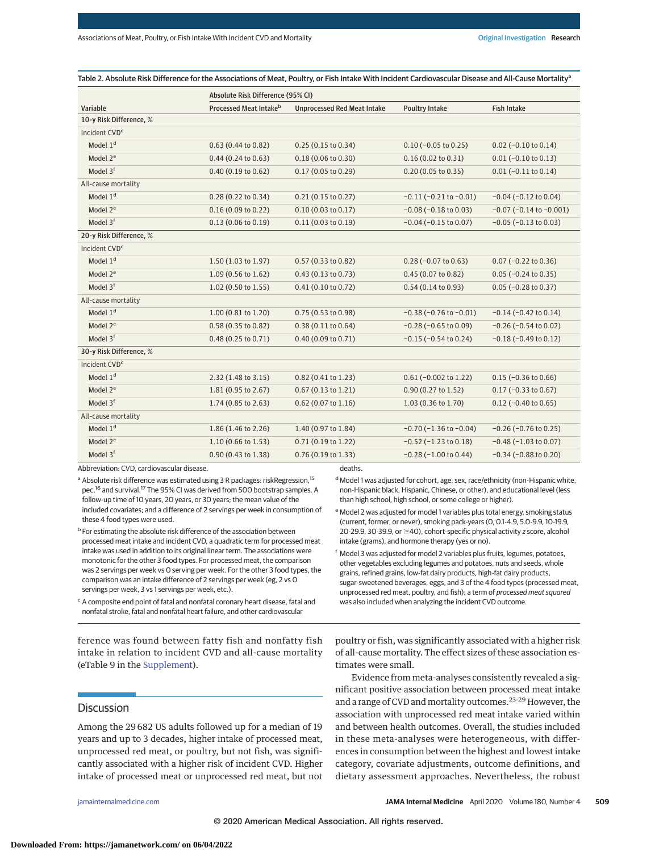Table 2. Absolute Risk Difference for the Associations of Meat, Poultry, or Fish Intake With Incident Cardiovascular Disease and All-Cause Mortality<sup>a</sup>

|                           | Absolute Risk Difference (95% CI) |                                    |                                |                                 |  |  |
|---------------------------|-----------------------------------|------------------------------------|--------------------------------|---------------------------------|--|--|
| Variable                  | Processed Meat Intakeb            | <b>Unprocessed Red Meat Intake</b> | <b>Poultry Intake</b>          | <b>Fish Intake</b>              |  |  |
| 10-y Risk Difference, %   |                                   |                                    |                                |                                 |  |  |
| Incident CVD <sup>c</sup> |                                   |                                    |                                |                                 |  |  |
| Model 1 <sup>d</sup>      | $0.63$ (0.44 to 0.82)             | 0.25(0.15 to 0.34)                 | $0.10$ (-0.05 to 0.25)         | $0.02$ (-0.10 to 0.14)          |  |  |
| Model 2 <sup>e</sup>      | $0.44$ (0.24 to 0.63)             | 0.18(0.06 to 0.30)                 | 0.16(0.02 to 0.31)             | $0.01 (-0.10 to 0.13)$          |  |  |
| Model 3 <sup>f</sup>      | 0.40(0.19 to 0.62)                | 0.17(0.05 to 0.29)                 | 0.20(0.05 to 0.35)             | $0.01$ (-0.11 to 0.14)          |  |  |
| All-cause mortality       |                                   |                                    |                                |                                 |  |  |
| Model 1 <sup>d</sup>      | 0.28 (0.22 to 0.34)               | 0.21(0.15 to 0.27)                 | $-0.11$ ( $-0.21$ to $-0.01$ ) | $-0.04$ ( $-0.12$ to 0.04)      |  |  |
| Model 2 <sup>e</sup>      | 0.16(0.09 to 0.22)                | 0.10(0.03 to 0.17)                 | $-0.08$ ( $-0.18$ to 0.03)     | $-0.07$ ( $-0.14$ to $-0.001$ ) |  |  |
| Model 3 <sup>f</sup>      | 0.13(0.06 to 0.19)                | 0.11(0.03 to 0.19)                 | $-0.04$ ( $-0.15$ to 0.07)     | $-0.05$ ( $-0.13$ to 0.03)      |  |  |
| 20-y Risk Difference, %   |                                   |                                    |                                |                                 |  |  |
| Incident CVD <sup>c</sup> |                                   |                                    |                                |                                 |  |  |
| Model 1 <sup>d</sup>      | 1.50(1.03 to 1.97)                | $0.57(0.33 \text{ to } 0.82)$      | $0.28$ (-0.07 to 0.63)         | $0.07$ (-0.22 to 0.36)          |  |  |
| Model 2 <sup>e</sup>      | 1.09 (0.56 to 1.62)               | 0.43(0.13 to 0.73)                 | 0.45 (0.07 to 0.82)            | $0.05$ (-0.24 to 0.35)          |  |  |
| Model 3 <sup>f</sup>      | $1.02$ (0.50 to 1.55)             | 0.41(0.10 to 0.72)                 | 0.54(0.14 to 0.93)             | $0.05 (-0.28 to 0.37)$          |  |  |
| All-cause mortality       |                                   |                                    |                                |                                 |  |  |
| Model 1 <sup>d</sup>      | 1.00 (0.81 to 1.20)               | 0.75 (0.53 to 0.98)                | $-0.38$ ( $-0.76$ to $-0.01$ ) | $-0.14$ ( $-0.42$ to $0.14$ )   |  |  |
| Model 2 <sup>e</sup>      | 0.58 (0.35 to 0.82)               | 0.38(0.11 to 0.64)                 | $-0.28$ ( $-0.65$ to 0.09)     | $-0.26$ ( $-0.54$ to 0.02)      |  |  |
| Model 3 <sup>f</sup>      | $0.48(0.25 \text{ to } 0.71)$     | 0.40 (0.09 to 0.71)                | $-0.15$ ( $-0.54$ to 0.24)     | $-0.18$ ( $-0.49$ to $0.12$ )   |  |  |
| 30-y Risk Difference, %   |                                   |                                    |                                |                                 |  |  |
| Incident CVD <sup>c</sup> |                                   |                                    |                                |                                 |  |  |
| Model 1 <sup>d</sup>      | 2.32 (1.48 to 3.15)               | 0.82 (0.41 to 1.23)                | $0.61$ (-0.002 to 1.22)        | $0.15$ (-0.36 to 0.66)          |  |  |
| Model 2 <sup>e</sup>      | 1.81 (0.95 to 2.67)               | 0.67 (0.13 to 1.21)                | 0.90 (0.27 to 1.52)            | $0.17 (-0.33 to 0.67)$          |  |  |
| Model 3 <sup>f</sup>      | 1.74 (0.85 to 2.63)               | 0.62 (0.07 to 1.16)                | 1.03 (0.36 to 1.70)            | $0.12$ (-0.40 to 0.65)          |  |  |
| All-cause mortality       |                                   |                                    |                                |                                 |  |  |
| Model 1 <sup>d</sup>      | 1.86 (1.46 to 2.26)               | 1.40 (0.97 to 1.84)                | $-0.70$ ( $-1.36$ to $-0.04$ ) | $-0.26$ ( $-0.76$ to 0.25)      |  |  |
| Model 2 <sup>e</sup>      | 1.10 (0.66 to 1.53)               | 0.71 (0.19 to 1.22)                | $-0.52$ ( $-1.23$ to $0.18$ )  | $-0.48$ ( $-1.03$ to 0.07)      |  |  |
| Model 3 <sup>f</sup>      | 0.90 (0.43 to 1.38)               | 0.76 (0.19 to 1.33)                | $-0.28$ ( $-1.00$ to 0.44)     | $-0.34$ ( $-0.88$ to 0.20)      |  |  |

Abbreviation: CVD, cardiovascular disease.

<sup>a</sup> Absolute risk difference was estimated using 3 R packages: riskRegression,<sup>15</sup> pec,<sup>16</sup> and survival.<sup>17</sup> The 95% CI was derived from 500 bootstrap samples. A follow-up time of 10 years, 20 years, or 30 years; the mean value of the included covariates; and a difference of 2 servings per week in consumption of these 4 food types were used.

**b** For estimating the absolute risk difference of the association between processed meat intake and incident CVD, a quadratic term for processed meat intake was used in addition to its original linear term. The associations were monotonic for the other 3 food types. For processed meat, the comparison was 2 servings per week vs 0 serving per week. For the other 3 food types, the comparison was an intake difference of 2 servings per week (eg, 2 vs 0 servings per week, 3 vs 1 servings per week, etc.).

<sup>c</sup> A composite end point of fatal and nonfatal coronary heart disease, fatal and nonfatal stroke, fatal and nonfatal heart failure, and other cardiovascular

ference was found between fatty fish and nonfatty fish intake in relation to incident CVD and all-cause mortality (eTable 9 in the [Supplement\)](https://jamanetwork.com/journals/jama/fullarticle/10.1001/jamainternmed.2019.6969?utm_campaign=articlePDF%26utm_medium=articlePDFlink%26utm_source=articlePDF%26utm_content=jamainternmed.2019.6969).

## **Discussion**

Among the 29 682 US adults followed up for a median of 19 years and up to 3 decades, higher intake of processed meat, unprocessed red meat, or poultry, but not fish, was significantly associated with a higher risk of incident CVD. Higher intake of processed meat or unprocessed red meat, but not

deaths.

<sup>d</sup> Model 1 was adjusted for cohort, age, sex, race/ethnicity (non-Hispanic white, non-Hispanic black, Hispanic, Chinese, or other), and educational level (less than high school, high school, or some college or higher).

<sup>e</sup> Model 2 was adjusted for model 1 variables plus total energy, smoking status (current, former, or never), smoking pack-years (0, 0.1-4.9, 5.0-9.9, 10-19.9, 20-29.9, 30-39.9, or ≥40), cohort-specific physical activity z score, alcohol intake (grams), and hormone therapy (yes or no).

<sup>f</sup> Model 3 was adjusted for model 2 variables plus fruits, legumes, potatoes, other vegetables excluding legumes and potatoes, nuts and seeds, whole grains, refined grains, low-fat dairy products, high-fat dairy products, sugar-sweetened beverages, eggs, and 3 of the 4 food types (processed meat, unprocessed red meat, poultry, and fish); a term of processed meat squared was also included when analyzing the incident CVD outcome.

poultry or fish, was significantly associated with a higher risk of all-cause mortality. The effect sizes of these association estimates were small.

Evidence from meta-analyses consistently revealed a significant positive association between processed meat intake and a range of CVD and mortality outcomes.<sup>23-29</sup> However, the association with unprocessed red meat intake varied within and between health outcomes. Overall, the studies included in these meta-analyses were heterogeneous, with differences in consumption between the highest and lowest intake category, covariate adjustments, outcome definitions, and dietary assessment approaches. Nevertheless, the robust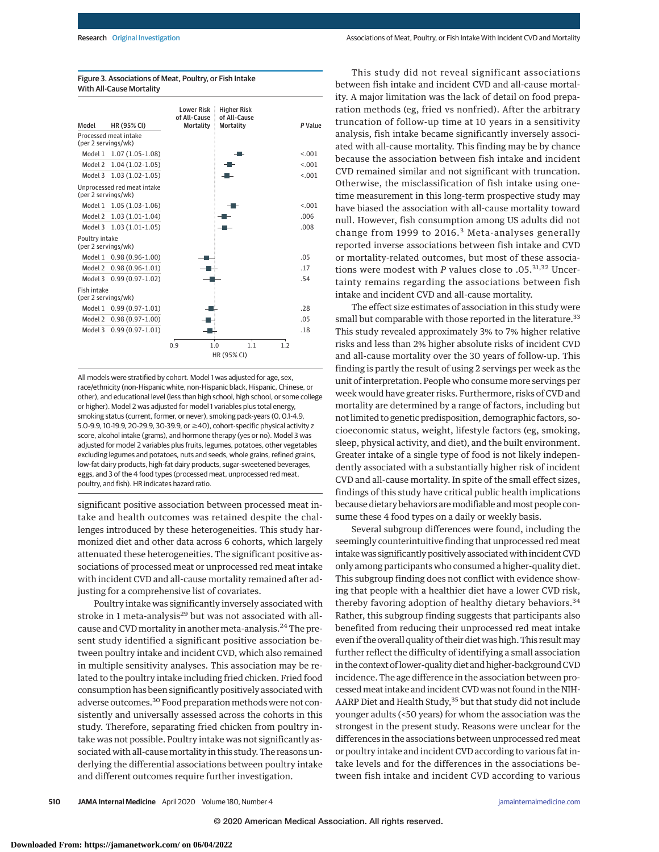#### Figure 3. Associations of Meat, Poultry, or Fish Intake With All-Cause Mortality



All models were stratified by cohort. Model 1 was adjusted for age, sex, race/ethnicity (non-Hispanic white, non-Hispanic black, Hispanic, Chinese, or other), and educational level (less than high school, high school, or some college or higher). Model 2 was adjusted for model 1 variables plus total energy, smoking status (current, former, or never), smoking pack-years (0, 0.1-4.9, 5.0-9.9, 10-19.9, 20-29.9, 30-39.9, or ≥40), cohort-specific physical activity z score, alcohol intake (grams), and hormone therapy (yes or no). Model 3 was adjusted for model 2 variables plus fruits, legumes, potatoes, other vegetables excluding legumes and potatoes, nuts and seeds, whole grains, refined grains, low-fat dairy products, high-fat dairy products, sugar-sweetened beverages, eggs, and 3 of the 4 food types (processed meat, unprocessed red meat, poultry, and fish). HR indicates hazard ratio.

significant positive association between processed meat intake and health outcomes was retained despite the challenges introduced by these heterogeneities. This study harmonized diet and other data across 6 cohorts, which largely attenuated these heterogeneities. The significant positive associations of processed meat or unprocessed red meat intake with incident CVD and all-cause mortality remained after adjusting for a comprehensive list of covariates.

Poultry intake was significantly inversely associated with stroke in 1 meta-analysis<sup>29</sup> but was not associated with allcause and CVD mortality in another meta-analysis.<sup>24</sup> The present study identified a significant positive association between poultry intake and incident CVD, which also remained in multiple sensitivity analyses. This association may be related to the poultry intake including fried chicken. Fried food consumption has been significantly positively associated with adverse outcomes.30 Food preparation methods were not consistently and universally assessed across the cohorts in this study. Therefore, separating fried chicken from poultry intake was not possible. Poultry intake was not significantly associated with all-causemortality in this study. The reasons underlying the differential associations between poultry intake and different outcomes require further investigation.

This study did not reveal significant associations between fish intake and incident CVD and all-cause mortality. A major limitation was the lack of detail on food preparation methods (eg, fried vs nonfried). After the arbitrary truncation of follow-up time at 10 years in a sensitivity analysis, fish intake became significantly inversely associated with all-cause mortality. This finding may be by chance because the association between fish intake and incident CVD remained similar and not significant with truncation. Otherwise, the misclassification of fish intake using onetime measurement in this long-term prospective study may have biased the association with all-cause mortality toward null. However, fish consumption among US adults did not change from 1999 to 2016.<sup>3</sup> Meta-analyses generally reported inverse associations between fish intake and CVD or mortality-related outcomes, but most of these associations were modest with *P* values close to .05.<sup>31,32</sup> Uncertainty remains regarding the associations between fish intake and incident CVD and all-cause mortality.

The effect size estimates of association in this study were small but comparable with those reported in the literature.<sup>33</sup> This study revealed approximately 3% to 7% higher relative risks and less than 2% higher absolute risks of incident CVD and all-cause mortality over the 30 years of follow-up. This finding is partly the result of using 2 servings per week as the unit of interpretation. People who consume more servings per week would have greater risks. Furthermore, risks of CVD and mortality are determined by a range of factors, including but not limited to genetic predisposition, demographic factors, socioeconomic status, weight, lifestyle factors (eg, smoking, sleep, physical activity, and diet), and the built environment. Greater intake of a single type of food is not likely independently associated with a substantially higher risk of incident CVD and all-cause mortality. In spite of the small effect sizes, findings of this study have critical public health implications because dietary behaviors are modifiable and most people consume these 4 food types on a daily or weekly basis.

Several subgroup differences were found, including the seemingly counterintuitive finding that unprocessed red meat intake was significantly positively associated with incident CVD only among participants who consumed a higher-quality diet. This subgroup finding does not conflict with evidence showing that people with a healthier diet have a lower CVD risk, thereby favoring adoption of healthy dietary behaviors.<sup>34</sup> Rather, this subgroup finding suggests that participants also benefited from reducing their unprocessed red meat intake even if the overall quality of their diet was high. This result may further reflect the difficulty of identifying a small association in the context of lower-quality diet and higher-background CVD incidence. The age difference in the association between processedmeat intake and incident CVD was not found in the NIH-AARP Diet and Health Study,<sup>35</sup> but that study did not include younger adults (<50 years) for whom the association was the strongest in the present study. Reasons were unclear for the differences in the associations between unprocessed red meat or poultry intake and incident CVD according to various fat intake levels and for the differences in the associations between fish intake and incident CVD according to various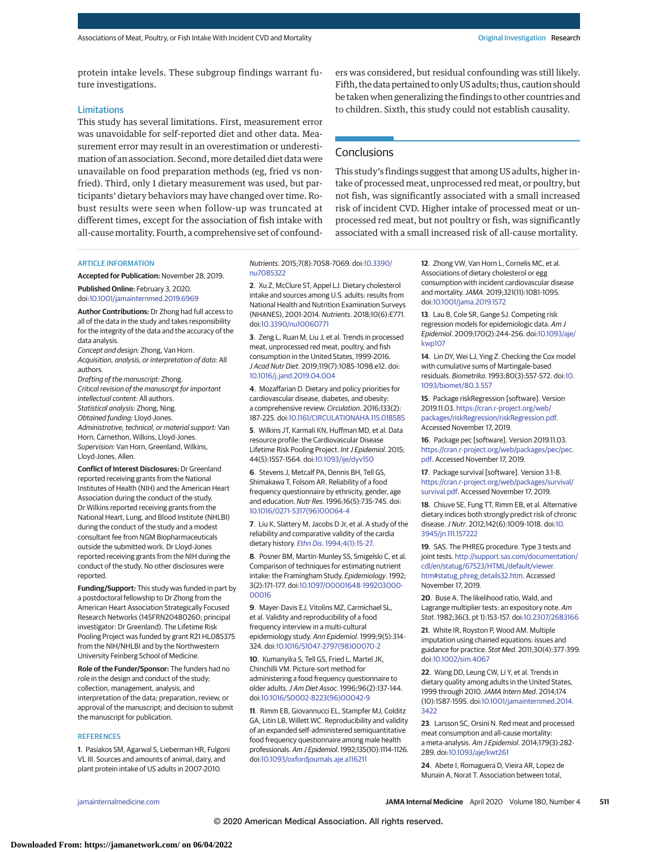protein intake levels. These subgroup findings warrant future investigations.

#### **Limitations**

This study has several limitations. First, measurement error was unavoidable for self-reported diet and other data. Measurement error may result in an overestimation or underestimation of an association. Second, more detailed diet data were unavailable on food preparation methods (eg, fried vs nonfried). Third, only 1 dietary measurement was used, but participants' dietary behaviors may have changed over time. Robust results were seen when follow-up was truncated at different times, except for the association of fish intake with all-cause mortality. Fourth, a comprehensive set of confounders was considered, but residual confounding was still likely. Fifth, the data pertained to only US adults; thus, caution should be taken when generalizing the findings to other countries and to children. Sixth, this study could not establish causality.

# **Conclusions**

This study's findings suggest that among US adults, higher intake of processed meat, unprocessed red meat, or poultry, but not fish, was significantly associated with a small increased risk of incident CVD. Higher intake of processed meat or unprocessed red meat, but not poultry or fish, was significantly associated with a small increased risk of all-cause mortality.

#### ARTICLE INFORMATION

**Accepted for Publication:** November 28, 2019. **Published Online:** February 3, 2020. doi[:10.1001/jamainternmed.2019.6969](https://jamanetwork.com/journals/jama/fullarticle/10.1001/jamainternmed.2019.6969?utm_campaign=articlePDF%26utm_medium=articlePDFlink%26utm_source=articlePDF%26utm_content=jamainternmed.2019.6969)

**Author Contributions:** Dr Zhong had full access to all of the data in the study and takes responsibility for the integrity of the data and the accuracy of the data analysis.

Concept and design: Zhong, Van Horn. Acquisition, analysis, or interpretation of data: All authors.

Drafting of the manuscript: Zhong. Critical revision of the manuscript for important intellectual content: All authors. Statistical analysis: Zhong, Ning. Obtained funding: Lloyd-Jones. Administrative, technical, or material support: Van Horn, Carnethon, Wilkins, Lloyd-Jones. Supervision: Van Horn, Greenland, Wilkins,

Lloyd-Jones, Allen.

**Conflict of Interest Disclosures:** Dr Greenland reported receiving grants from the National Institutes of Health (NIH) and the American Heart Association during the conduct of the study. Dr Wilkins reported receiving grants from the National Heart, Lung, and Blood Institute (NHLBI) during the conduct of the study and a modest consultant fee from NGM Biopharmaceuticals outside the submitted work. Dr Lloyd-Jones reported receiving grants from the NIH during the conduct of the study. No other disclosures were reported.

**Funding/Support:** This study was funded in part by a postdoctoral fellowship to Dr Zhong from the American Heart Association Strategically Focused Research Networks (14SFRN20480260; principal investigator: Dr Greenland). The Lifetime Risk Pooling Project was funded by grant R21 HL085375 from the NIH/NHLBI and by the Northwestern University Feinberg School of Medicine.

**Role of the Funder/Sponsor:** The funders had no role in the design and conduct of the study; collection, management, analysis, and interpretation of the data; preparation, review, or approval of the manuscript; and decision to submit the manuscript for publication.

## **REFERENCES**

**1**. Pasiakos SM, Agarwal S, Lieberman HR, Fulgoni VL III. Sources and amounts of animal, dairy, and plant protein intake of US adults in 2007-2010.

Nutrients. 2015;7(8):7058-7069. doi[:10.3390/](https://dx.doi.org/10.3390/nu7085322) [nu7085322](https://dx.doi.org/10.3390/nu7085322)

**2**. Xu Z, McClure ST, Appel LJ. Dietary cholesterol intake and sources among U.S. adults: results from National Health and Nutrition Examination Surveys (NHANES), 2001-2014. Nutrients. 2018;10(6):E771. doi[:10.3390/nu10060771](https://dx.doi.org/10.3390/nu10060771)

**3**. Zeng L, Ruan M, Liu J, et al. Trends in processed meat, unprocessed red meat, poultry, and fish consumption in the United States, 1999-2016. J Acad Nutr Diet. 2019;119(7):1085-1098.e12. doi: [10.1016/j.jand.2019.04.004](https://dx.doi.org/10.1016/j.jand.2019.04.004)

**4**. Mozaffarian D. Dietary and policy priorities for cardiovascular disease, diabetes, and obesity: a comprehensive review. Circulation. 2016;133(2): 187-225. doi[:10.1161/CIRCULATIONAHA.115.018585](https://dx.doi.org/10.1161/CIRCULATIONAHA.115.018585)

**5**. Wilkins JT, Karmali KN, Huffman MD, et al. Data resource profile: the Cardiovascular Disease Lifetime Risk Pooling Project. Int J Epidemiol. 2015; 44(5):1557-1564. doi[:10.1093/ije/dyv150](https://dx.doi.org/10.1093/ije/dyv150)

**6**. Stevens J, Metcalf PA, Dennis BH, Tell GS, Shimakawa T, Folsom AR. Reliability of a food frequency questionnaire by ethnicity, gender, age and education. Nutr Res. 1996;16(5):735-745. doi: [10.1016/0271-5317\(96\)00064-4](https://dx.doi.org/10.1016/0271-5317(96)00064-4)

**7**. Liu K, Slattery M, Jacobs D Jr, et al. A study of the reliability and comparative validity of the cardia dietary history. Ethn Dis[. 1994;4\(1\):15-27.](https://www.ncbi.nlm.nih.gov/pubmed/7742729)

**8**. Posner BM, Martin-Munley SS, Smigelski C, et al. Comparison of techniques for estimating nutrient intake: the Framingham Study. Epidemiology. 1992; 3(2):171-177. doi[:10.1097/00001648-199203000-](https://dx.doi.org/10.1097/00001648-199203000-00016) [00016](https://dx.doi.org/10.1097/00001648-199203000-00016)

**9**. Mayer-Davis EJ, Vitolins MZ, Carmichael SL, et al. Validity and reproducibility of a food frequency interview in a multi-cultural epidemiology study. Ann Epidemiol. 1999;9(5):314- 324. doi[:10.1016/S1047-2797\(98\)00070-2](https://dx.doi.org/10.1016/S1047-2797(98)00070-2)

**10**. Kumanyika S, Tell GS, Fried L, Martel JK, Chinchilli VM. Picture-sort method for administering a food frequency questionnaire to older adults.J Am Diet Assoc. 1996;96(2):137-144. doi[:10.1016/S0002-8223\(96\)00042-9](https://dx.doi.org/10.1016/S0002-8223(96)00042-9)

**11**. Rimm EB, Giovannucci EL, Stampfer MJ, Colditz GA, Litin LB, Willett WC. Reproducibility and validity of an expanded self-administered semiquantitative food frequency questionnaire among male health professionals. Am J Epidemiol. 1992;135(10):1114-1126. doi[:10.1093/oxfordjournals.aje.a116211](https://dx.doi.org/10.1093/oxfordjournals.aje.a116211)

**12**. Zhong VW, Van Horn L, Cornelis MC, et al. Associations of dietary cholesterol or egg consumption with incident cardiovascular disease and mortality.JAMA. 2019;321(11):1081-1095. doi[:10.1001/jama.2019.1572](https://jamanetwork.com/journals/jama/fullarticle/10.1001/jama.2019.1572?utm_campaign=articlePDF%26utm_medium=articlePDFlink%26utm_source=articlePDF%26utm_content=jamainternmed.2019.6969)

**13**. Lau B, Cole SR, Gange SJ. Competing risk regression models for epidemiologic data. Am J Epidemiol. 2009;170(2):244-256. doi[:10.1093/aje/](https://dx.doi.org/10.1093/aje/kwp107) [kwp107](https://dx.doi.org/10.1093/aje/kwp107)

**14**. Lin DY, Wei LJ, Ying Z. Checking the Cox model with cumulative sums of Martingale-based residuals. Biometrika. 1993;80(3):557-572. doi[:10.](https://dx.doi.org/10.1093/biomet/80.3.557) [1093/biomet/80.3.557](https://dx.doi.org/10.1093/biomet/80.3.557)

**15**. Package riskRegression [software]. Version 2019.11.03. [https://cran.r-project.org/web/](https://cran.r-project.org/web/packages/riskRegression/riskRegression.pdf) [packages/riskRegression/riskRegression.pdf.](https://cran.r-project.org/web/packages/riskRegression/riskRegression.pdf) Accessed November 17, 2019.

**16**. Package pec [software]. Version 2019.11.03. [https://cran.r-project.org/web/packages/pec/pec.](https://cran.r-project.org/web/packages/pec/pec.pdf) [pdf.](https://cran.r-project.org/web/packages/pec/pec.pdf) Accessed November 17, 2019.

**17**. Package survival [software]. Version 3.1-8. [https://cran.r-project.org/web/packages/survival/](https://cran.r-project.org/web/packages/survival/survival.pdf) [survival.pdf.](https://cran.r-project.org/web/packages/survival/survival.pdf) Accessed November 17, 2019.

**18**. Chiuve SE, Fung TT, Rimm EB, et al. Alternative dietary indices both strongly predict risk of chronic disease.J Nutr. 2012;142(6):1009-1018. doi[:10.](https://dx.doi.org/10.3945/jn.111.157222) [3945/jn.111.157222](https://dx.doi.org/10.3945/jn.111.157222)

**19**. SAS. The PHREG procedure. Type 3 tests and joint tests. [http://support.sas.com/documentation/](http://support.sas.com/documentation/cdl/en/statug/67523/HTML/default/viewer.htm#statug_phreg_details32.htm) [cdl/en/statug/67523/HTML/default/viewer.](http://support.sas.com/documentation/cdl/en/statug/67523/HTML/default/viewer.htm#statug_phreg_details32.htm) [htm#statug\\_phreg\\_details32.htm.](http://support.sas.com/documentation/cdl/en/statug/67523/HTML/default/viewer.htm#statug_phreg_details32.htm) Accessed November 17, 2019.

**20**. Buse A. The likelihood ratio, Wald, and Lagrange multiplier tests: an expository note. Am Stat. 1982;36(3, pt 1):153-157. doi[:10.2307/2683166](https://dx.doi.org/10.2307/2683166)

**21**. White IR, Royston P, Wood AM. Multiple imputation using chained equations: issues and guidance for practice. Stat Med. 2011;30(4):377-399. doi[:10.1002/sim.4067](https://dx.doi.org/10.1002/sim.4067)

**22**. Wang DD, Leung CW, Li Y, et al. Trends in dietary quality among adults in the United States, 1999 through 2010.JAMA Intern Med. 2014;174 (10):1587-1595. doi[:10.1001/jamainternmed.2014.](https://jamanetwork.com/journals/jama/fullarticle/10.1001/jamainternmed.2014.3422?utm_campaign=articlePDF%26utm_medium=articlePDFlink%26utm_source=articlePDF%26utm_content=jamainternmed.2019.6969) [3422](https://jamanetwork.com/journals/jama/fullarticle/10.1001/jamainternmed.2014.3422?utm_campaign=articlePDF%26utm_medium=articlePDFlink%26utm_source=articlePDF%26utm_content=jamainternmed.2019.6969)

**23**. Larsson SC, Orsini N. Red meat and processed meat consumption and all-cause mortality: a meta-analysis. Am J Epidemiol. 2014;179(3):282- 289. doi[:10.1093/aje/kwt261](https://dx.doi.org/10.1093/aje/kwt261)

**24**. Abete I, Romaguera D, Vieira AR, Lopez de Munain A, Norat T. Association between total,